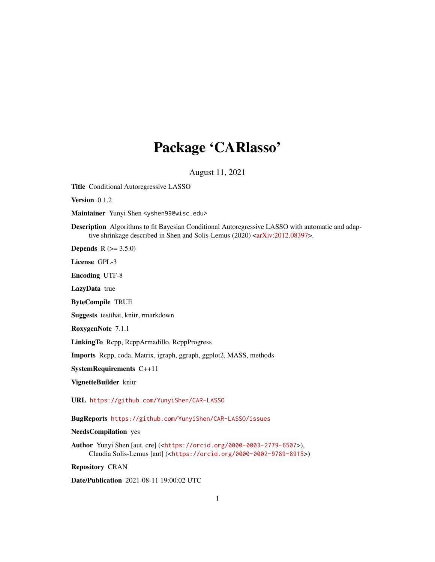# Package 'CARlasso'

August 11, 2021

Title Conditional Autoregressive LASSO

Version 0.1.2

Maintainer Yunyi Shen <yshen99@wisc.edu>

Description Algorithms to fit Bayesian Conditional Autoregressive LASSO with automatic and adap-tive shrinkage described in Shen and Solis-Lemus (2020) [<arXiv:2012.08397>](https://arxiv.org/abs/2012.08397).

**Depends** R  $(>= 3.5.0)$ 

License GPL-3

Encoding UTF-8

LazyData true

ByteCompile TRUE

Suggests testthat, knitr, rmarkdown

RoxygenNote 7.1.1

LinkingTo Rcpp, RcppArmadillo, RcppProgress

Imports Rcpp, coda, Matrix, igraph, ggraph, ggplot2, MASS, methods

SystemRequirements C++11

VignetteBuilder knitr

URL <https://github.com/YunyiShen/CAR-LASSO>

BugReports <https://github.com/YunyiShen/CAR-LASSO/issues>

NeedsCompilation yes

Author Yunyi Shen [aut, cre] (<<https://orcid.org/0000-0003-2779-6507>>), Claudia Solis-Lemus [aut] (<<https://orcid.org/0000-0002-9789-8915>>)

Repository CRAN

Date/Publication 2021-08-11 19:00:02 UTC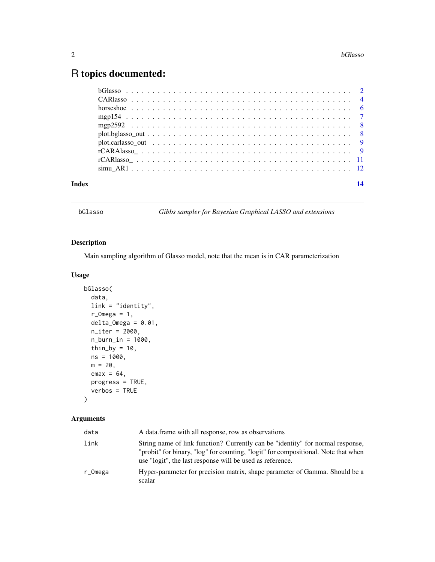## <span id="page-1-0"></span>R topics documented:

| Index | 14 |
|-------|----|
|       |    |
|       |    |
|       |    |
|       |    |
|       |    |
|       |    |
|       |    |
|       |    |
|       |    |
|       |    |

bGlasso *Gibbs sampler for Bayesian Graphical LASSO and extensions*

#### Description

Main sampling algorithm of Glasso model, note that the mean is in CAR parameterization

#### Usage

```
bGlasso(
  data,
  link = "identity",
 r\_Omega = 1,
 delta_Omega = 0.01,
 n_iter = 2000,
 n_burn_in = 1000,
  thin_by = 10,
 ns = 1000,
 m = 20,
 emax = 64,
 progress = TRUE,
  verbos = TRUE
```
 $\mathcal{L}$ 

| data    | A data frame with all response, row as observations                                                                                                                                                                               |
|---------|-----------------------------------------------------------------------------------------------------------------------------------------------------------------------------------------------------------------------------------|
| link    | String name of link function? Currently can be "identity" for normal response,<br>"probit" for binary, "log" for counting, "logit" for compositional. Note that when<br>use "logit", the last response will be used as reference. |
| r_Omega | Hyper-parameter for precision matrix, shape parameter of Gamma. Should be a<br>scalar                                                                                                                                             |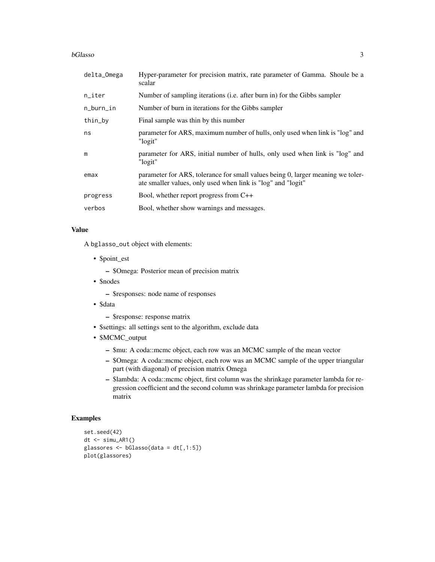#### bGlasso 3

| delta_Omega | Hyper-parameter for precision matrix, rate parameter of Gamma. Shoule be a<br>scalar                                                            |  |
|-------------|-------------------------------------------------------------------------------------------------------------------------------------------------|--|
| n_iter      | Number of sampling iterations (i.e. after burn in) for the Gibbs sampler                                                                        |  |
| n_burn_in   | Number of burn in iterations for the Gibbs sampler                                                                                              |  |
| thin_by     | Final sample was thin by this number                                                                                                            |  |
| ns          | parameter for ARS, maximum number of hulls, only used when link is "log" and<br>"logit"                                                         |  |
| m           | parameter for ARS, initial number of hulls, only used when link is "log" and<br>"logit"                                                         |  |
| emax        | parameter for ARS, tolerance for small values being 0, larger meaning we toler-<br>ate smaller values, only used when link is "log" and "logit" |  |
| progress    | Bool, whether report progress from C++                                                                                                          |  |
| verbos      | Bool, whether show warnings and messages.                                                                                                       |  |

#### Value

A bglasso\_out object with elements:

• \$point\_est

– \$Omega: Posterior mean of precision matrix

• \$nodes

– \$responses: node name of responses

- \$data
	- \$response: response matrix
- \$settings: all settings sent to the algorithm, exclude data
- \$MCMC\_output
	- \$mu: A coda::mcmc object, each row was an MCMC sample of the mean vector
	- \$Omega: A coda::mcmc object, each row was an MCMC sample of the upper triangular part (with diagonal) of precision matrix Omega
	- \$lambda: A coda::mcmc object, first column was the shrinkage parameter lambda for regression coefficient and the second column was shrinkage parameter lambda for precision matrix

#### Examples

```
set.seed(42)
dt \le -\sin(u)glassores <- bGlasso(data = dt[,1:5])
plot(glassores)
```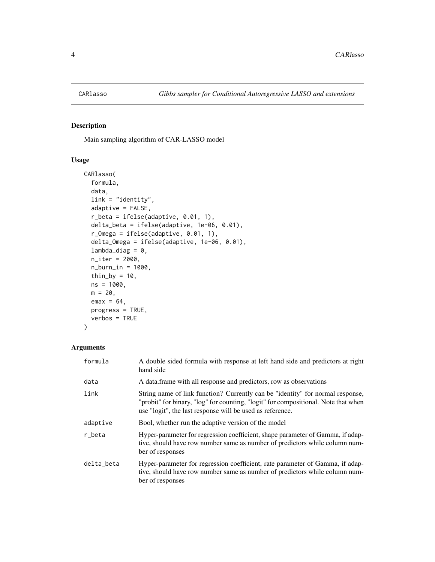<span id="page-3-0"></span>

#### Description

Main sampling algorithm of CAR-LASSO model

#### Usage

```
CARlasso(
  formula,
  data,
  link = "identity",
  adaptive = FALSE,
  r_beta = ifelse(adaptive, 0.01, 1),
 delta_beta = ifelse(adaptive, 1e-06, 0.01),
  r_Omega = ifelse(adaptive, 0.01, 1),
  delta_Omega = ifelse(adaptive, 1e-06, 0.01),
  lambda\_diag = 0,
 n_iter = 2000,
  n_burn_in = 1000,thin_by = 10,
  ns = 1000,
 m = 20,
 emax = 64,
 progress = TRUE,
  verbos = TRUE
)
```

| formula    | A double sided formula with response at left hand side and predictors at right<br>hand side                                                                                                                                       |  |
|------------|-----------------------------------------------------------------------------------------------------------------------------------------------------------------------------------------------------------------------------------|--|
| data       | A data frame with all response and predictors, row as observations                                                                                                                                                                |  |
| link       | String name of link function? Currently can be "identity" for normal response,<br>"probit" for binary, "log" for counting, "logit" for compositional. Note that when<br>use "logit", the last response will be used as reference. |  |
| adaptive   | Bool, whether run the adaptive version of the model                                                                                                                                                                               |  |
| r beta     | Hyper-parameter for regression coefficient, shape parameter of Gamma, if adap-<br>tive, should have row number same as number of predictors while column num-<br>ber of responses                                                 |  |
| delta beta | Hyper-parameter for regression coefficient, rate parameter of Gamma, if adap-<br>tive, should have row number same as number of predictors while column num-<br>ber of responses                                                  |  |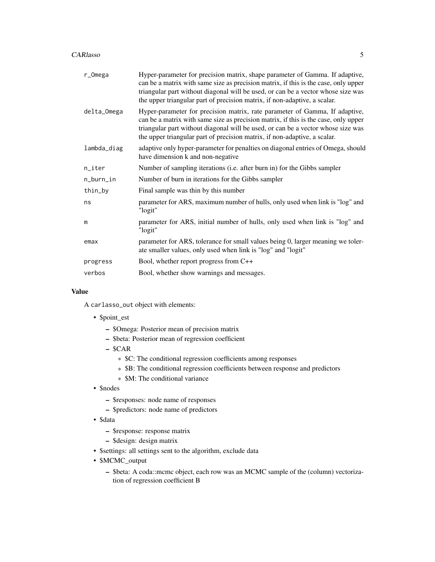#### CARlasso 5

| r_Omega     | Hyper-parameter for precision matrix, shape parameter of Gamma. If adaptive,<br>can be a matrix with same size as precision matrix, if this is the case, only upper<br>triangular part without diagonal will be used, or can be a vector whose size was<br>the upper triangular part of precision matrix, if non-adaptive, a scalar. |  |
|-------------|--------------------------------------------------------------------------------------------------------------------------------------------------------------------------------------------------------------------------------------------------------------------------------------------------------------------------------------|--|
| delta_Omega | Hyper-parameter for precision matrix, rate parameter of Gamma, If adaptive,<br>can be a matrix with same size as precision matrix, if this is the case, only upper<br>triangular part without diagonal will be used, or can be a vector whose size was<br>the upper triangular part of precision matrix, if non-adaptive, a scalar.  |  |
| lambda_diag | adaptive only hyper-parameter for penalties on diagonal entries of Omega, should<br>have dimension k and non-negative                                                                                                                                                                                                                |  |
| n_iter      | Number of sampling iterations (i.e. after burn in) for the Gibbs sampler                                                                                                                                                                                                                                                             |  |
| n_burn_in   | Number of burn in iterations for the Gibbs sampler                                                                                                                                                                                                                                                                                   |  |
| thin_by     | Final sample was thin by this number                                                                                                                                                                                                                                                                                                 |  |
| ns          | parameter for ARS, maximum number of hulls, only used when link is "log" and<br>"logit"                                                                                                                                                                                                                                              |  |
| m           | parameter for ARS, initial number of hulls, only used when link is "log" and<br>"logit"                                                                                                                                                                                                                                              |  |
| emax        | parameter for ARS, tolerance for small values being 0, larger meaning we toler-<br>ate smaller values, only used when link is "log" and "logit"                                                                                                                                                                                      |  |
| progress    | Bool, whether report progress from C++                                                                                                                                                                                                                                                                                               |  |
| verbos      | Bool, whether show warnings and messages.                                                                                                                                                                                                                                                                                            |  |
|             |                                                                                                                                                                                                                                                                                                                                      |  |

#### Value

A carlasso\_out object with elements:

- \$point\_est
	- \$Omega: Posterior mean of precision matrix
	- \$beta: Posterior mean of regression coefficient
	- \$CAR
		- \* \$C: The conditional regression coefficients among responses
		- \* \$B: The conditional regression coefficients between response and predictors
		- \* \$M: The conditional variance
- \$nodes
	- \$responses: node name of responses
	- \$predictors: node name of predictors
- \$data
	- \$response: response matrix
	- \$design: design matrix
- \$settings: all settings sent to the algorithm, exclude data
- \$MCMC\_output
	- \$beta: A coda::mcmc object, each row was an MCMC sample of the (column) vectorization of regression coefficient B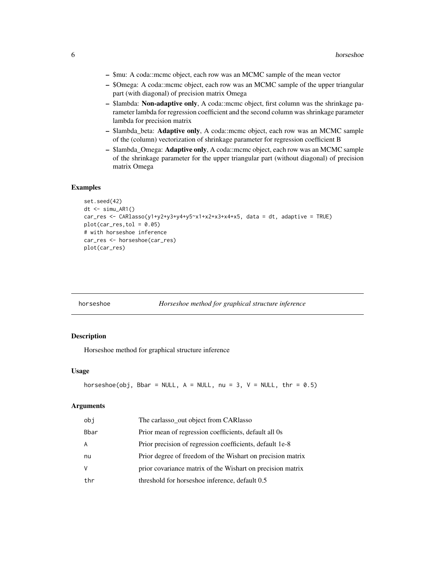- <span id="page-5-0"></span>– \$mu: A coda::mcmc object, each row was an MCMC sample of the mean vector
- \$Omega: A coda::mcmc object, each row was an MCMC sample of the upper triangular part (with diagonal) of precision matrix Omega
- \$lambda: Non-adaptive only, A coda::mcmc object, first column was the shrinkage parameter lambda for regression coefficient and the second column was shrinkage parameter lambda for precision matrix
- \$lambda\_beta: Adaptive only, A coda::mcmc object, each row was an MCMC sample of the (column) vectorization of shrinkage parameter for regression coefficient B
- \$lambda\_Omega: Adaptive only, A coda::mcmc object, each row was an MCMC sample of the shrinkage parameter for the upper triangular part (without diagonal) of precision matrix Omega

#### Examples

```
set.seed(42)
dt \le -\sin\theta_0AR1()
car_res <- CARlasso(y1+y2+y3+y4+y5~x1+x2+x3+x4+x5, data = dt, adaptive = TRUE)
plot(car_res, tol = 0.05)# with horseshoe inference
car_res <- horseshoe(car_res)
plot(car_res)
```
horseshoe *Horseshoe method for graphical structure inference*

#### Description

Horseshoe method for graphical structure inference

#### Usage

```
horseshoe(obj, Bbar = NULL, A = NULL, nu = 3, V = NULL, thr = 0.5)
```

| obi  | The carlasso_out object from CARlasso                      |
|------|------------------------------------------------------------|
| Bbar | Prior mean of regression coefficients, default all 0s      |
| A    | Prior precision of regression coefficients, default 1e-8   |
| nu   | Prior degree of freedom of the Wishart on precision matrix |
| V    | prior covariance matrix of the Wishart on precision matrix |
| thr  | threshold for horseshoe inference, default 0.5             |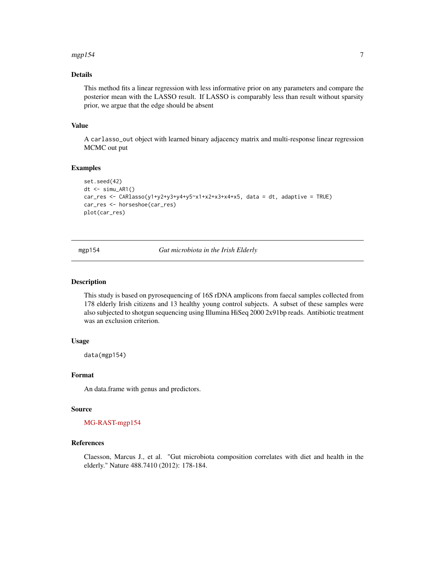#### <span id="page-6-0"></span> $m$ gpl $54$   $\hspace{1.5mm}$

#### Details

This method fits a linear regression with less informative prior on any parameters and compare the posterior mean with the LASSO result. If LASSO is comparably less than result without sparsity prior, we argue that the edge should be absent

#### Value

A carlasso\_out object with learned binary adjacency matrix and multi-response linear regression MCMC out put

#### Examples

```
set.seed(42)
dt \leq -\sin(u) AR1()
car_res <- CARlasso(y1+y2+y3+y4+y5~x1+x2+x3+x4+x5, data = dt, adaptive = TRUE)
car_res <- horseshoe(car_res)
plot(car_res)
```
mgp154 *Gut microbiota in the Irish Elderly*

#### Description

This study is based on pyrosequencing of 16S rDNA amplicons from faecal samples collected from 178 elderly Irish citizens and 13 healthy young control subjects. A subset of these samples were also subjected to shotgun sequencing using Illumina HiSeq 2000 2x91bp reads. Antibiotic treatment was an exclusion criterion.

#### Usage

data(mgp154)

#### Format

An data.frame with genus and predictors.

#### Source

#### [MG-RAST-mgp154](https://www.mg-rast.org/mgmain.html?mgpage=project&project=mgp154)

#### References

Claesson, Marcus J., et al. "Gut microbiota composition correlates with diet and health in the elderly." Nature 488.7410 (2012): 178-184.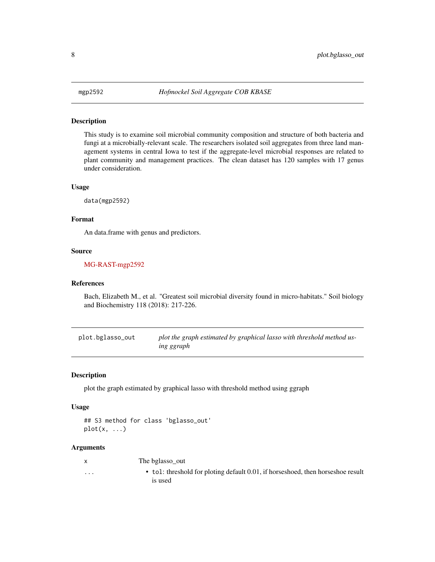#### <span id="page-7-0"></span>Description

This study is to examine soil microbial community composition and structure of both bacteria and fungi at a microbially-relevant scale. The researchers isolated soil aggregates from three land management systems in central Iowa to test if the aggregate-level microbial responses are related to plant community and management practices. The clean dataset has 120 samples with 17 genus under consideration.

#### Usage

data(mgp2592)

#### Format

An data.frame with genus and predictors.

#### Source

#### [MG-RAST-mgp2592](https://www.mg-rast.org/mgmain.html?mgpage=project&project=mgp2592)

#### References

Bach, Elizabeth M., et al. "Greatest soil microbial diversity found in micro-habitats." Soil biology and Biochemistry 118 (2018): 217-226.

plot.bglasso\_out *plot the graph estimated by graphical lasso with threshold method using ggraph*

#### Description

plot the graph estimated by graphical lasso with threshold method using ggraph

#### Usage

```
## S3 method for class 'bglasso_out'
plot(x, \ldots)
```
#### Arguments

x The bglasso\_out

is used

... • tol: threshold for ploting default 0.01, if horseshoed, then horseshoe result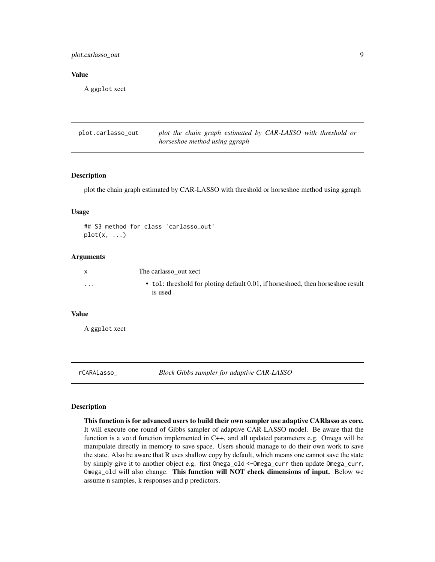<span id="page-8-0"></span>plot.carlasso\_out 9

#### Value

A ggplot xect

plot.carlasso\_out *plot the chain graph estimated by CAR-LASSO with threshold or horseshoe method using ggraph*

#### Description

plot the chain graph estimated by CAR-LASSO with threshold or horseshoe method using ggraph

#### Usage

```
## S3 method for class 'carlasso_out'
plot(x, \ldots)
```
#### Arguments

| X        | The carlasso out xect                                                                      |
|----------|--------------------------------------------------------------------------------------------|
| $\cdots$ | • tol: threshold for ploting default 0.01, if horseshoed, then horseshoe result<br>is used |

#### Value

A ggplot xect

rCARAlasso\_ *Block Gibbs sampler for adaptive CAR-LASSO*

#### Description

This function is for advanced users to build their own sampler use adaptive CARlasso as core. It will execute one round of Gibbs sampler of adaptive CAR-LASSO model. Be aware that the function is a void function implemented in C++, and all updated parameters e.g. Omega will be manipulate directly in memory to save space. Users should manage to do their own work to save the state. Also be aware that R uses shallow copy by default, which means one cannot save the state by simply give it to another object e.g. first Omega\_old <-Omega\_curr then update Omega\_curr, Omega\_old will also change. This function will NOT check dimensions of input. Below we assume n samples, k responses and p predictors.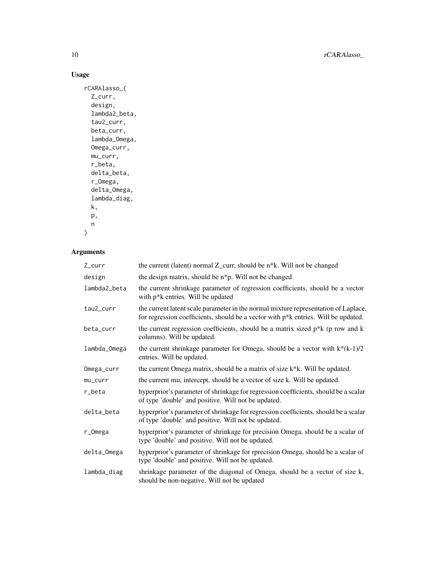10 rCARAlasso\_

#### Usage

```
rCARAlasso_(
  Z_curr,
  design,
  lambda2_beta,
  tau2_curr,
  beta_curr,
  lambda_Omega,
  Omega_curr,
  mu_curr,
  r_beta,
  delta_beta,
  r_Omega,
  delta_Omega,
  lambda_diag,
  k,
  p,
  n
)
```

| Z_curr       | the current (latent) normal Z_curr, should be n*k. Will not be changed                                                                                                    |  |
|--------------|---------------------------------------------------------------------------------------------------------------------------------------------------------------------------|--|
| design       | the design matrix, should be n*p. Will not be changed                                                                                                                     |  |
| lambda2_beta | the current shrinkage parameter of regression coefficients, should be a vector<br>with $p^*k$ entries. Will be updated                                                    |  |
| tau2_curr    | the current latent scale parameter in the normal mixture representation of Laplace,<br>for regression coefficients, should be a vector with p*k entries. Will be updated. |  |
| beta_curr    | the current regression coefficients, should be a matrix sized $p^*k$ (p row and k<br>columns). Will be updated.                                                           |  |
| lambda_Omega | the current shrinkage parameter for Omega, should be a vector with $k*(k-1)/2$<br>entries. Will be updated.                                                               |  |
| Omega_curr   | the current Omega matrix, should be a matrix of size k*k. Will be updated.                                                                                                |  |
| mu_curr      | the current mu, intercept, should be a vector of size k. Will be updated.                                                                                                 |  |
| r_beta       | hyperprior's parameter of shrinkage for regression coefficients, should be a scalar<br>of type 'double' and positive. Will not be updated.                                |  |
| delta_beta   | hyperprior's parameter of shrinkage for regression coefficients, should be a scalar<br>of type 'double' and positive. Will not be updated.                                |  |
| $r\_Omega$   | hyperprior's parameter of shrinkage for precision Omega, should be a scalar of<br>type 'double' and positive. Will not be updated.                                        |  |
| delta_Omega  | hyperprior's parameter of shrinkage for rprecision Omega, should be a scalar of<br>type 'double' and positive. Will not be updated.                                       |  |
| lambda_diag  | shrinkage parameter of the diagonal of Omega, should be a vector of size k,<br>should be non-negative. Will not be updated                                                |  |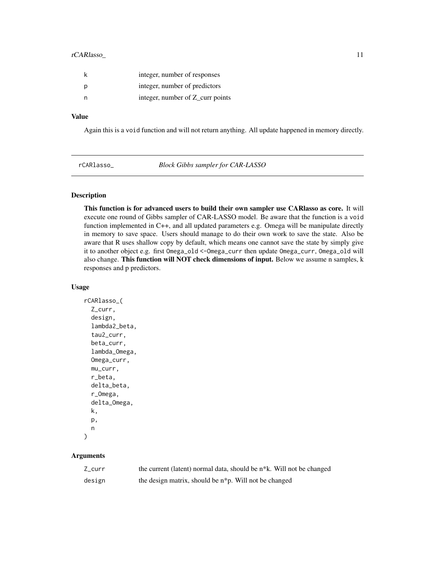#### <span id="page-10-0"></span>rCARlasso\_ 11

|   | integer, number of responses     |
|---|----------------------------------|
| p | integer, number of predictors    |
|   | integer, number of Z_curr points |

#### Value

Again this is a void function and will not return anything. All update happened in memory directly.

rCARlasso\_ *Block Gibbs sampler for CAR-LASSO*

#### Description

This function is for advanced users to build their own sampler use CARlasso as core. It will execute one round of Gibbs sampler of CAR-LASSO model. Be aware that the function is a void function implemented in C++, and all updated parameters e.g. Omega will be manipulate directly in memory to save space. Users should manage to do their own work to save the state. Also be aware that R uses shallow copy by default, which means one cannot save the state by simply give it to another object e.g. first Omega\_old <-Omega\_curr then update Omega\_curr, Omega\_old will also change. This function will NOT check dimensions of input. Below we assume n samples, k responses and p predictors.

#### Usage

```
rCARlasso_(
  Z_curr,
  design,
  lambda2_beta,
  tau2_curr,
  beta_curr,
  lambda_Omega,
  Omega_curr,
 mu_curr,
  r_beta,
  delta_beta,
  r_Omega,
  delta_Omega,
 k,
 p,
 n
)
```

| $Z_{curr}$ | the current (latent) normal data, should be n <sup>*</sup> k. Will not be changed |
|------------|-----------------------------------------------------------------------------------|
| design     | the design matrix, should be n <sup>*</sup> p. Will not be changed                |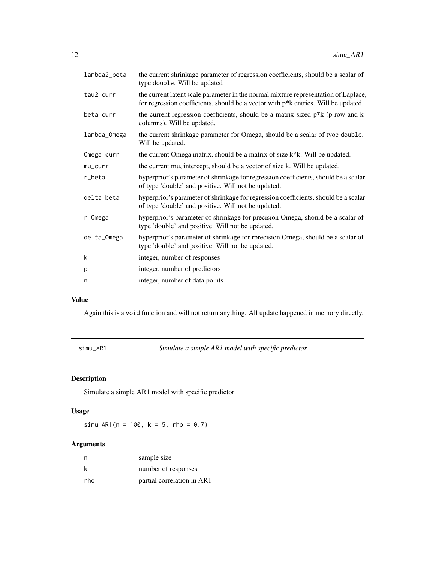<span id="page-11-0"></span>

| the current latent scale parameter in the normal mixture representation of Laplace,<br>for regression coefficients, should be a vector with $p^*k$ entries. Will be updated.<br>the current regression coefficients, should be a matrix sized $p^*k$ (p row and k<br>columns). Will be updated.<br>the current shrinkage parameter for Omega, should be a scalar of tyoe double.<br>Will be updated.<br>the current Omega matrix, should be a matrix of size k <sup>*k</sup> . Will be updated.<br>the current mu, intercept, should be a vector of size k. Will be updated.<br>hyperprior's parameter of shrinkage for regression coefficients, should be a scalar<br>of type 'double' and positive. Will not be updated.<br>hyperprior's parameter of shrinkage for regression coefficients, should be a scalar<br>of type 'double' and positive. Will not be updated.<br>hyperprior's parameter of shrinkage for precision Omega, should be a scalar of<br>type 'double' and positive. Will not be updated.<br>hyperprior's parameter of shrinkage for rprecision Omega, should be a scalar of<br>type 'double' and positive. Will not be updated.<br>integer, number of responses<br>integer, number of predictors<br>integer, number of data points | lambda2_beta | the current shrinkage parameter of regression coefficients, should be a scalar of<br>type double. Will be updated |  |
|----------------------------------------------------------------------------------------------------------------------------------------------------------------------------------------------------------------------------------------------------------------------------------------------------------------------------------------------------------------------------------------------------------------------------------------------------------------------------------------------------------------------------------------------------------------------------------------------------------------------------------------------------------------------------------------------------------------------------------------------------------------------------------------------------------------------------------------------------------------------------------------------------------------------------------------------------------------------------------------------------------------------------------------------------------------------------------------------------------------------------------------------------------------------------------------------------------------------------------------------------------|--------------|-------------------------------------------------------------------------------------------------------------------|--|
|                                                                                                                                                                                                                                                                                                                                                                                                                                                                                                                                                                                                                                                                                                                                                                                                                                                                                                                                                                                                                                                                                                                                                                                                                                                          | tau2_curr    |                                                                                                                   |  |
|                                                                                                                                                                                                                                                                                                                                                                                                                                                                                                                                                                                                                                                                                                                                                                                                                                                                                                                                                                                                                                                                                                                                                                                                                                                          | beta_curr    |                                                                                                                   |  |
|                                                                                                                                                                                                                                                                                                                                                                                                                                                                                                                                                                                                                                                                                                                                                                                                                                                                                                                                                                                                                                                                                                                                                                                                                                                          | lambda_Omega |                                                                                                                   |  |
|                                                                                                                                                                                                                                                                                                                                                                                                                                                                                                                                                                                                                                                                                                                                                                                                                                                                                                                                                                                                                                                                                                                                                                                                                                                          | Omega_curr   |                                                                                                                   |  |
|                                                                                                                                                                                                                                                                                                                                                                                                                                                                                                                                                                                                                                                                                                                                                                                                                                                                                                                                                                                                                                                                                                                                                                                                                                                          | $mu_curr$    |                                                                                                                   |  |
|                                                                                                                                                                                                                                                                                                                                                                                                                                                                                                                                                                                                                                                                                                                                                                                                                                                                                                                                                                                                                                                                                                                                                                                                                                                          | r_beta       |                                                                                                                   |  |
|                                                                                                                                                                                                                                                                                                                                                                                                                                                                                                                                                                                                                                                                                                                                                                                                                                                                                                                                                                                                                                                                                                                                                                                                                                                          | delta_beta   |                                                                                                                   |  |
|                                                                                                                                                                                                                                                                                                                                                                                                                                                                                                                                                                                                                                                                                                                                                                                                                                                                                                                                                                                                                                                                                                                                                                                                                                                          | r_Omega      |                                                                                                                   |  |
|                                                                                                                                                                                                                                                                                                                                                                                                                                                                                                                                                                                                                                                                                                                                                                                                                                                                                                                                                                                                                                                                                                                                                                                                                                                          | delta_Omega  |                                                                                                                   |  |
|                                                                                                                                                                                                                                                                                                                                                                                                                                                                                                                                                                                                                                                                                                                                                                                                                                                                                                                                                                                                                                                                                                                                                                                                                                                          | k            |                                                                                                                   |  |
|                                                                                                                                                                                                                                                                                                                                                                                                                                                                                                                                                                                                                                                                                                                                                                                                                                                                                                                                                                                                                                                                                                                                                                                                                                                          | p            |                                                                                                                   |  |
|                                                                                                                                                                                                                                                                                                                                                                                                                                                                                                                                                                                                                                                                                                                                                                                                                                                                                                                                                                                                                                                                                                                                                                                                                                                          | n            |                                                                                                                   |  |

#### Value

Again this is a void function and will not return anything. All update happened in memory directly.

simu\_AR1 *Simulate a simple AR1 model with specific predictor*

### Description

Simulate a simple AR1 model with specific predictor

#### Usage

simu\_AR1( $n = 100$ ,  $k = 5$ , rho = 0.7)

| n   | sample size                |
|-----|----------------------------|
| k   | number of responses        |
| rho | partial correlation in AR1 |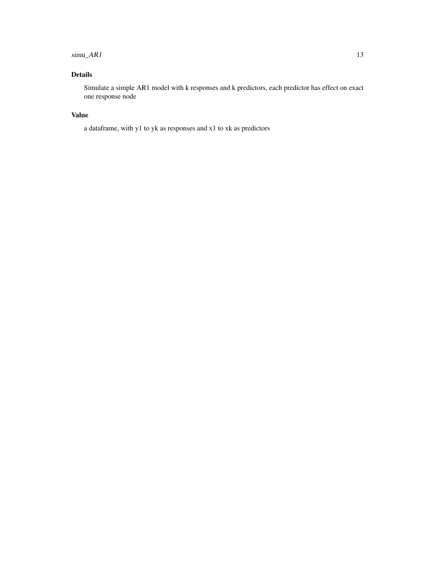### $sim\_AR1$  13

## Details

Simulate a simple AR1 model with k responses and k predictors, each predictor has effect on exact one response node

#### Value

a dataframe, with y1 to yk as responses and x1 to xk as predictors